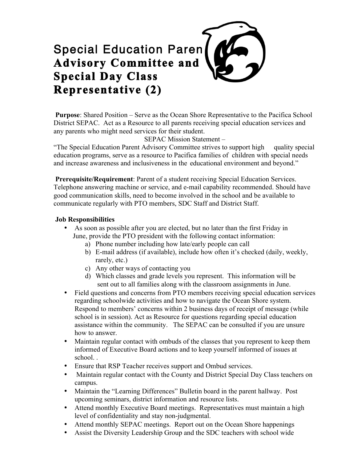## Special Education Paren **Advisory Committee and Special Day Class Representative (2)**

**Purpose**: Shared Position – Serve as the Ocean Shore Representative to the Pacifica School District SEPAC. Act as a Resource to all parents receiving special education services and any parents who might need services for their student.

SEPAC Mission Statement –

"The Special Education Parent Advisory Committee strives to support high quality special education programs, serve as a resource to Pacifica families of children with special needs and increase awareness and inclusiveness in the educational environment and beyond."

**Prerequisite/Requirement**: Parent of a student receiving Special Education Services. Telephone answering machine or service, and e-mail capability recommended. Should have good communication skills, need to become involved in the school and be available to communicate regularly with PTO members, SDC Staff and District Staff.

## **Job Responsibilities**

- As soon as possible after you are elected, but no later than the first Friday in June, provide the PTO president with the following contact information:
	- a) Phone number including how late/early people can call
	- b) E-mail address (if available), include how often it's checked (daily, weekly, rarely, etc.)
	- c) Any other ways of contacting you
	- d) Which classes and grade levels you represent. This information will be sent out to all families along with the classroom assignments in June.
- Field questions and concerns from PTO members receiving special education services regarding schoolwide activities and how to navigate the Ocean Shore system. Respond to members' concerns within 2 business days of receipt of message (while school is in session). Act as Resource for questions regarding special education assistance within the community. The SEPAC can be consulted if you are unsure how to answer.
- Maintain regular contact with ombuds of the classes that you represent to keep them informed of Executive Board actions and to keep yourself informed of issues at school. .
- Ensure that RSP Teacher receives support and Ombud services.
- Maintain regular contact with the County and District Special Day Class teachers on campus.
- Maintain the "Learning Differences" Bulletin board in the parent hallway. Post upcoming seminars, district information and resource lists.
- Attend monthly Executive Board meetings. Representatives must maintain a high level of confidentiality and stay non-judgmental.
- Attend monthly SEPAC meetings. Report out on the Ocean Shore happenings
- Assist the Diversity Leadership Group and the SDC teachers with school wide